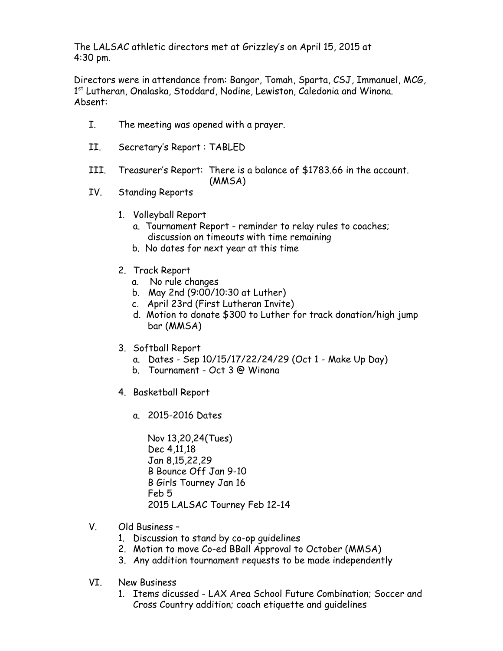The LALSAC athletic directors met at Grizzley's on April 15, 2015 at 4:30 pm.

Directors were in attendance from: Bangor, Tomah, Sparta, CSJ, Immanuel, MCG, 1<sup>st</sup> Lutheran, Onalaska, Stoddard, Nodine, Lewiston, Caledonia and Winona. Absent:

- I. The meeting was opened with a prayer.
- II. Secretary's Report : TABLED
- III. Treasurer's Report: There is a balance of \$1783.66 in the account. (MMSA)
- IV. Standing Reports
	- 1. Volleyball Report
		- a. Tournament Report reminder to relay rules to coaches; discussion on timeouts with time remaining
		- b. No dates for next year at this time
	- 2. Track Report
		- a. No rule changes
		- b. May 2nd (9:00/10:30 at Luther)
		- c. April 23rd (First Lutheran Invite)
		- d. Motion to donate \$300 to Luther for track donation/high jump bar (MMSA)
	- 3. Softball Report
		- a. Dates Sep 10/15/17/22/24/29 (Oct 1 Make Up Day)
		- b. Tournament Oct 3 @ Winona
	- 4. Basketball Report
		- a. 2015-2016 Dates

Nov 13,20,24(Tues) Dec 4,11,18 Jan 8,15,22,29 B Bounce Off Jan 9-10 B Girls Tourney Jan 16 Feb 5 2015 LALSAC Tourney Feb 12-14

- V. Old Business
	- 1. Discussion to stand by co-op guidelines
	- 2. Motion to move Co-ed BBall Approval to October (MMSA)
	- 3. Any addition tournament requests to be made independently
- VI. New Business
	- 1. Items dicussed LAX Area School Future Combination; Soccer and Cross Country addition; coach etiquette and guidelines